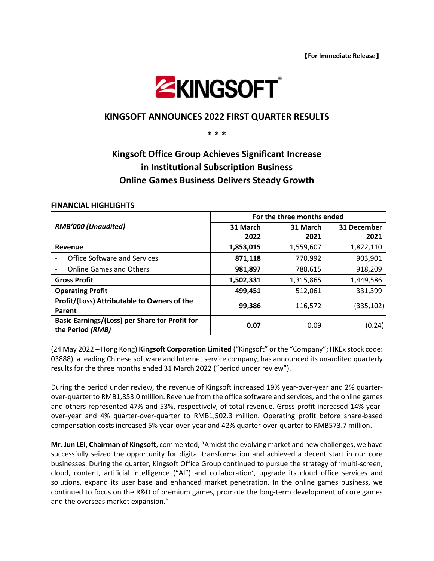

# **KINGSOFT ANNOUNCES 2022 FIRST QUARTER RESULTS**

**\* \* \***

# **Kingsoft Office Group Achieves Significant Increase in Institutional Subscription Business Online Games Business Delivers Steady Growth**

#### **FINANCIAL HIGHLIGHTS**

| <b>RMB'000 (Unaudited)</b>                     | For the three months ended |           |             |
|------------------------------------------------|----------------------------|-----------|-------------|
|                                                | 31 March                   | 31 March  | 31 December |
|                                                | 2022                       | 2021      | 2021        |
| Revenue                                        | 1,853,015                  | 1,559,607 | 1,822,110   |
| <b>Office Software and Services</b>            | 871,118                    | 770,992   | 903,901     |
| <b>Online Games and Others</b>                 | 981,897                    | 788,615   | 918,209     |
| <b>Gross Profit</b>                            | 1,502,331                  | 1,315,865 | 1,449,586   |
| <b>Operating Profit</b>                        | 499,451                    | 512,061   | 331,399     |
| Profit/(Loss) Attributable to Owners of the    | 99,386                     | 116,572   | (335, 102)  |
| Parent                                         |                            |           |             |
| Basic Earnings/(Loss) per Share for Profit for | 0.07                       | 0.09      | (0.24)      |
| the Period (RMB)                               |                            |           |             |

(24 May 2022 – Hong Kong) **Kingsoft Corporation Limited** ("Kingsoft" or the "Company"; HKEx stock code: 03888), a leading Chinese software and Internet service company, has announced its unaudited quarterly results for the three months ended 31 March 2022 ("period under review").

During the period under review, the revenue of Kingsoft increased 19% year-over-year and 2% quarterover-quarter to RMB1,853.0 million. Revenue from the office software and services, and the online games and others represented 47% and 53%, respectively, of total revenue. Gross profit increased 14% yearover-year and 4% quarter-over-quarter to RMB1,502.3 million. Operating profit before share-based compensation costs increased 5% year-over-year and 42% quarter-over-quarter to RMB573.7 million.

**Mr. Jun LEI, Chairman of Kingsoft**, commented, "Amidst the evolving market and new challenges, we have successfully seized the opportunity for digital transformation and achieved a decent start in our core businesses. During the quarter, Kingsoft Office Group continued to pursue the strategy of 'multi-screen, cloud, content, artificial intelligence ("AI") and collaboration', upgrade its cloud office services and solutions, expand its user base and enhanced market penetration. In the online games business, we continued to focus on the R&D of premium games, promote the long-term development of core games and the overseas market expansion."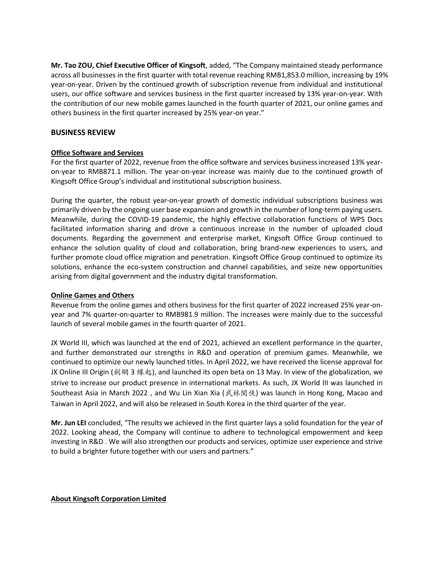**Mr. Tao ZOU, Chief Executive Officer of Kingsoft**, added, "The Company maintained steady performance across all businesses in the first quarter with total revenue reaching RMB1,853.0 million, increasing by 19% year-on-year. Driven by the continued growth of subscription revenue from individual and institutional users, our office software and services business in the first quarter increased by 13% year-on-year. With the contribution of our new mobile games launched in the fourth quarter of 2021, our online games and others business in the first quarter increased by 25% year-on year."

# **BUSINESS REVIEW**

# **Office Software and Services**

For the first quarter of 2022, revenue from the office software and services business increased 13% yearon-year to RMB871.1 million. The year-on-year increase was mainly due to the continued growth of Kingsoft Office Group's individual and institutional subscription business.

During the quarter, the robust year-on-year growth of domestic individual subscriptions business was primarily driven by the ongoing user base expansion and growth in the number of long-term paying users. Meanwhile, during the COVID-19 pandemic, the highly effective collaboration functions of WPS Docs facilitated information sharing and drove a continuous increase in the number of uploaded cloud documents. Regarding the government and enterprise market, Kingsoft Office Group continued to enhance the solution quality of cloud and collaboration, bring brand-new experiences to users, and further promote cloud office migration and penetration. Kingsoft Office Group continued to optimize its solutions, enhance the eco-system construction and channel capabilities, and seize new opportunities arising from digital government and the industry digital transformation.

### **Online Games and Others**

Revenue from the online games and others business for the first quarter of 2022 increased 25% year-onyear and 7% quarter-on-quarter to RMB981.9 million. The increases were mainly due to the successful launch of several mobile games in the fourth quarter of 2021.

JX World III, which was launched at the end of 2021, achieved an excellent performance in the quarter, and further demonstrated our strengths in R&D and operation of premium games. Meanwhile, we continued to optimize our newly launched titles. In April 2022, we have received the license approval for JX Online III Origin (劍網 3 緣起), and launched its open beta on 13 May. In view of the globalization, we strive to increase our product presence in international markets. As such, JX World III was launched in Southeast Asia in March 2022, and Wu Lin Xian Xia (武林閑俠) was launch in Hong Kong, Macao and Taiwan in April 2022, and will also be released in South Korea in the third quarter of the year.

**Mr. Jun LEI** concluded, "The results we achieved in the first quarter lays a solid foundation for the year of 2022. Looking ahead, the Company will continue to adhere to technological empowerment and keep investing in R&D . We will also strengthen our products and services, optimize user experience and strive to build a brighter future together with our users and partners."

**About Kingsoft Corporation Limited**